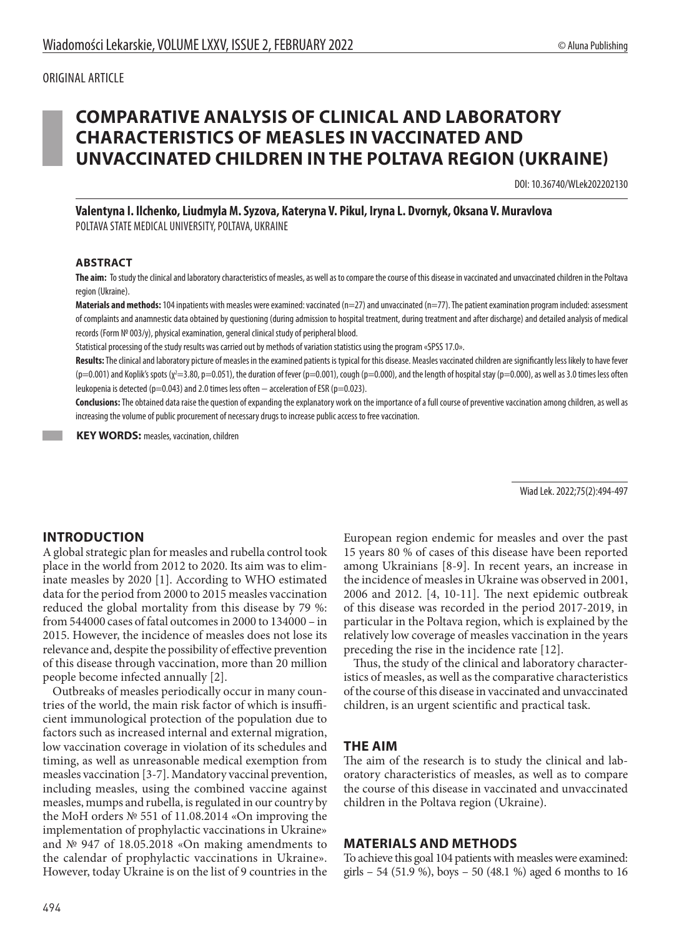# **COMPARATIVE ANALYSIS OF CLINICAL AND LABORATORY CHARACTERISTICS OF MEASLES IN VACCINATED AND UNVACCINATED CHILDREN IN THE POLTAVA REGION (UKRAINE)**

DOI: 10.36740/WLek202202130

**Valentyna I. Ilchenko, Liudmyla M. Syzova, Каteryna V. Pikul, Irynа L. Dvornyk, Oksana V. Muravlоva**  POLTAVA STATE MEDICAL UNIVERSITY, POLTAVA, UKRAINE

#### **ABSTRACT**

**The aim:** To study the clinical and laboratory characteristics of measles, as well as to compare the course of this disease in vaccinated and unvaccinated children in the Poltava region (Ukraine).

Materials and methods: 104 inpatients with measles were examined: vaccinated (n=27) and unvaccinated (n=77). The patient examination program included: assessment of complaints and anamnestic data obtained by questioning (during admission to hospital treatment, during treatment and after discharge) and detailed analysis of medical records (Form № 003/у), physical examination, general clinical study of peripheral blood.

Statistical processing of the study results was carried out by methods of variation statistics using the program «SPSS 17.0».

**Results:** The clinical and laboratory picture of measles in the examined patients is typical for this disease. Measles vaccinated children are significantly less likely to have fever (p=0.001) and Koplik's spots (χ<sup>2</sup>=3.80, p=0.051), the duration of fever (p=0.001), cough (p=0.000), and the length of hospital stay (p=0.000), as well as 3.0 times less often leukopenia is detected (p=0.043) and 2.0 times less often − acceleration of ESR (p=0.023).

**Conclusions:** The obtained data raise the question of expanding the explanatory work on the importance of a full course of preventive vaccination among children, as well as increasing the volume of public procurement of necessary drugs to increase public access to free vaccination.

**KEY WORDS:** measles, vaccination, children

Wiad Lek. 2022;75(2):494-497

#### **INTRODUCTION**

A global strategic plan for measles and rubella control took place in the world from 2012 to 2020. Its aim was to eliminate measles by 2020 [1]. According to WHO estimated data for the period from 2000 to 2015 measles vaccination reduced the global mortality from this disease by 79 %: from 544000 cases of fatal outcomes in 2000 to 134000 – in 2015. However, the incidence of measles does not lose its relevance and, despite the possibility of effective prevention of this disease through vaccination, more than 20 million people become infected annually [2].

Outbreaks of measles periodically occur in many countries of the world, the main risk factor of which is insufficient immunological protection of the population due to factors such as increased internal and external migration, low vaccination coverage in violation of its schedules and timing, as well as unreasonable medical exemption from measles vaccination [3-7]. Mandatory vaccinal prevention, including measles, using the combined vaccine against measles, mumps and rubella, is regulated in our country by the MoH orders № 551 of 11.08.2014 «On improving the implementation of prophylactic vaccinations in Ukraine» and № 947 of 18.05.2018 «On making amendments to the calendar of prophylactic vaccinations in Ukraine». However, today Ukraine is on the list of 9 countries in the

European region endemic for measles and over the past 15 years 80 % of cases of this disease have been reported among Ukrainians [8-9]. In recent years, an increase in the incidence of measles in Ukraine was observed in 2001, 2006 and 2012. [4, 10-11]. The next epidemic outbreak of this disease was recorded in the period 2017-2019, in particular in the Poltava region, which is explained by the relatively low coverage of measles vaccination in the years preceding the rise in the incidence rate [12].

Thus, the study of the clinical and laboratory characteristics of measles, as well as the comparative characteristics of the course of this disease in vaccinated and unvaccinated children, is an urgent scientific and practical task.

#### **THE AIM**

The aim of the research is to study the clinical and laboratory characteristics of measles, as well as to compare the course of this disease in vaccinated and unvaccinated children in the Poltava region (Ukraine).

#### **MATERIALS AND METHODS**

To achieve this goal 104 patients with measles were examined: girls – 54 (51.9 %), boys – 50 (48.1 %) aged 6 months to 16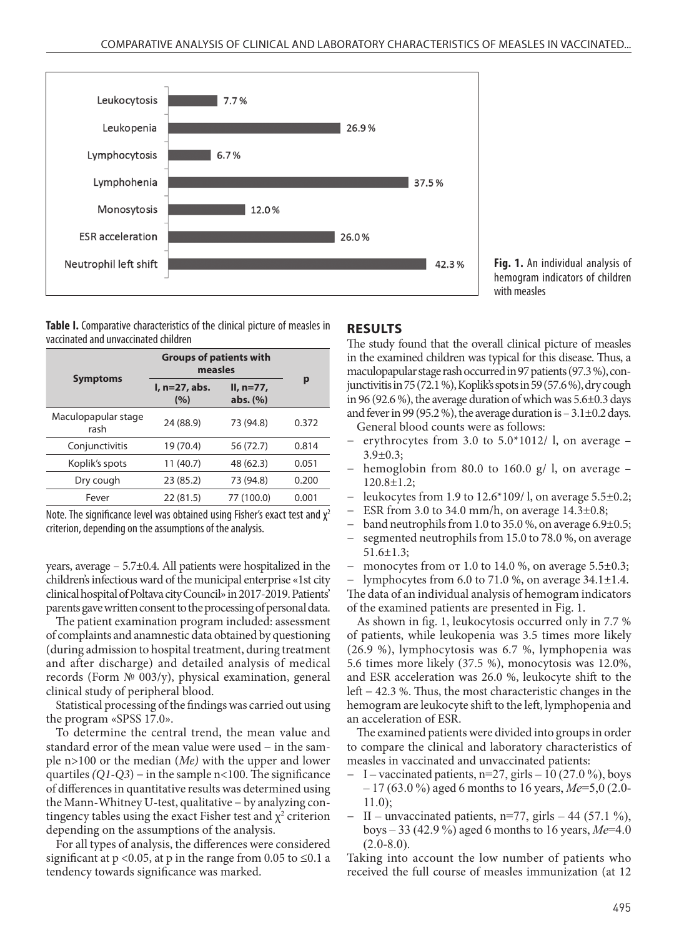

**Fig. 1.** An individual analysis of hemogram indicators of children with measles

**Table І.** Comparative characteristics of the clinical picture of measles in vaccinated and unvaccinated children

| <b>Symptoms</b>             | <b>Groups of patients with</b><br>measles |                            |       |
|-----------------------------|-------------------------------------------|----------------------------|-------|
|                             | I, n=27, abs.<br>(%)                      | $II. n=77.$<br>abs. $(\%)$ | р     |
| Maculopapular stage<br>rash | 24 (88.9)                                 | 73 (94.8)                  | 0.372 |
| Conjunctivitis              | 19 (70.4)                                 | 56 (72.7)                  | 0.814 |
| Koplik's spots              | 11 (40.7)                                 | 48 (62.3)                  | 0.051 |
| Dry cough                   | 23 (85.2)                                 | 73 (94.8)                  | 0.200 |
| Fever                       | 22(81.5)                                  | 77 (100.0)                 | 0.001 |

Note. The significance level was obtained using Fisher's exact test and  $\chi^2$ criterion, depending on the assumptions of the analysis.

years, average – 5.7±0.4. All patients were hospitalized in the children's infectious ward of the municipal enterprise «1st city clinical hospital of Poltava city Council» in 2017-2019. Patients' parents gave written consent to the processing of personal data.

The patient examination program included: assessment of complaints and anamnestic data obtained by questioning (during admission to hospital treatment, during treatment and after discharge) and detailed analysis of medical records (Form № 003/у), physical examination, general clinical study of peripheral blood.

Statistical processing of the findings was carried out using the program «SPSS 17.0».

To determine the central trend, the mean value and standard error of the mean value were used – in the sample n>100 or the median (*Ме)* with the upper and lower quartiles *(Q1-Q3)* − in the sample n<100. The significance of differences in quantitative results was determined using the Mann-Whitney U-test, qualitative − by analyzing contingency tables using the exact Fisher test and  $\chi^2$  criterion depending on the assumptions of the analysis.

For all types of analysis, the differences were considered significant at  $p < 0.05$ , at p in the range from 0.05 to  $\leq 0.1$  a tendency towards significance was marked.

## **RESULTS**

The study found that the overall clinical picture of measles in the examined children was typical for this disease. Thus, a maculopapular stage rash occurred in 97 patients (97.3 %), conjunctivitis in 75 (72.1 %), Koplik's spots in 59 (57.6 %), dry cough in 96 (92.6 %), the average duration of which was 5.6±0.3 days and fever in 99 (95.2 %), the average duration is  $-3.1\pm0.2$  days. General blood counts were as follows:

- erythrocytes from 3.0 to  $5.0*1012/$  l, on average 3.9±0.3;
- − hemoglobin from 80.0 to 160.0 g/ l, on average 120.8±1.2;
- leukocytes from 1.9 to 12.6\*109/ l, on average 5.5±0.2;
- ESR from 3.0 to 34.0 mm/h, on average  $14.3\pm0.8$ ;
- band neutrophils from 1.0 to 35.0 %, on average  $6.9\pm0.5$ ;
- segmented neutrophils from 15.0 to 78.0 %, on average 51.6±1.3;
- monocytes from от 1.0 to 14.0 %, on average  $5.5\pm0.3$ ;

lymphocytes from  $6.0$  to  $71.0$  %, on average  $34.1\pm1.4$ . The data of an individual analysis of hemogram indicators of the examined patients are presented in Fig. 1.

As shown in fig. 1, leukocytosis occurred only in 7.7 % of patients, while leukopenia was 3.5 times more likely (26.9 %), lymphocytosis was 6.7 %, lymphopenia was 5.6 times more likely (37.5 %), monocytosis was 12.0%, and ESR acceleration was 26.0 %, leukocyte shift to the left − 42.3 %. Thus, the most characteristic changes in the hemogram are leukocyte shift to the left, lymphopenia and an acceleration of ESR.

The examined patients were divided into groups in order to compare the clinical and laboratory characteristics of measles in vaccinated and unvaccinated patients:

- − І vaccinated patients, n=27, girls 10 (27.0 %), boys – 17 (63.0 %) aged 6 months to 16 years, *Ме*=5,0 (2.0- 11.0);
- − ІІ unvaccinated patients, n=77, girls 44 (57.1 %), boys – 33 (42.9 %) aged 6 months to 16 years, *Ме*=4.0  $(2.0 - 8.0)$ .

Taking into account the low number of patients who received the full course of measles immunization (at 12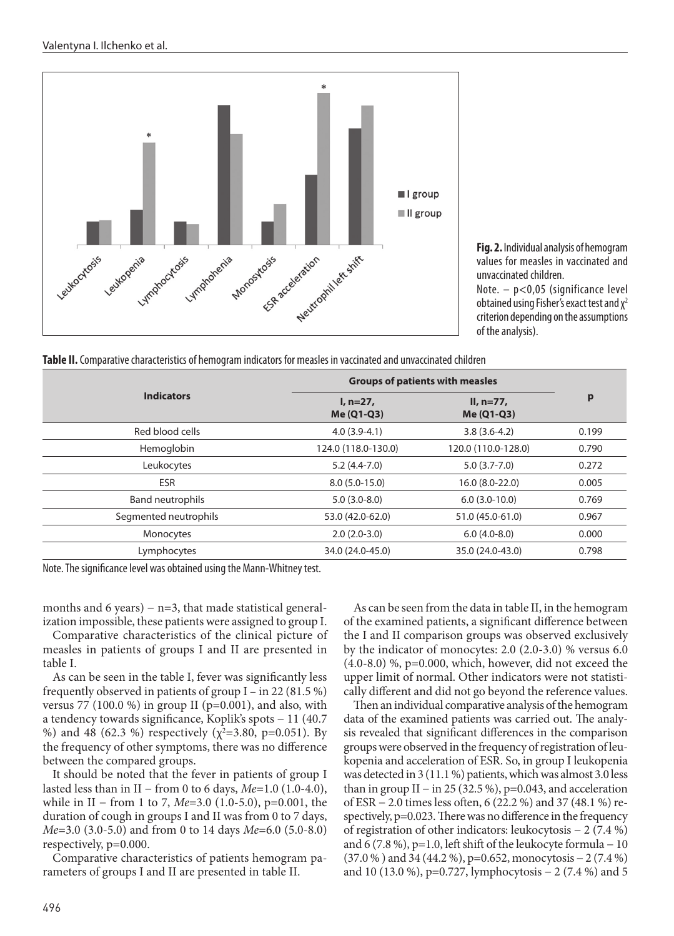

**Fig. 2.** Individual analysis of hemogram values for measles in vaccinated and unvaccinated children.

Note. – p<0,05 (significance level obtained using Fisher's exact test and  $\chi^2$ criterion depending on the assumptions of the analysis).

**Table ІІ.** Comparative characteristics of hemogram indicators for measles in vaccinated and unvaccinated children

| <b>Indicators</b>       | <b>Groups of patients with measles</b> |                           |       |
|-------------------------|----------------------------------------|---------------------------|-------|
|                         | $l, n=27,$<br>Me (Q1-Q3)               | $II, n=77,$<br>Me (Q1-Q3) | p     |
| Red blood cells         | $4.0(3.9-4.1)$                         | $3.8(3.6-4.2)$            | 0.199 |
| Hemoglobin              | 124.0 (118.0-130.0)                    | 120.0 (110.0-128.0)       | 0.790 |
| Leukocytes              | $5.2(4.4-7.0)$                         | $5.0(3.7-7.0)$            | 0.272 |
| <b>ESR</b>              | $8.0(5.0-15.0)$                        | 16.0 (8.0-22.0)           | 0.005 |
| <b>Band neutrophils</b> | $5.0(3.0-8.0)$                         | $6.0(3.0-10.0)$           | 0.769 |
| Segmented neutrophils   | 53.0 (42.0-62.0)                       | 51.0 (45.0-61.0)          | 0.967 |
| Monocytes               | $2.0(2.0-3.0)$                         | $6.0(4.0-8.0)$            | 0.000 |
| Lymphocytes             | 34.0 (24.0-45.0)                       | 35.0 (24.0-43.0)          | 0.798 |

Note. The significance level was obtained using the Mann-Whitney test.

months and 6 years) – n=3, that made statistical generalization impossible, these patients were assigned to group I.

Comparative characteristics of the clinical picture of measles in patients of groups I and II are presented in table І.

As can be seen in the table І, fever was significantly less frequently observed in patients of group I – in 22 (81.5 %) versus 77 (100.0 %) in group II ( $p=0.001$ ), and also, with a tendency towards significance, Koplik's spots − 11 (40.7 %) and 48 (62.3 %) respectively ( $\chi^2$ =3.80, p=0.051). By the frequency of other symptoms, there was no difference between the compared groups.

It should be noted that the fever in patients of group I lasted less than in II − from 0 to 6 days, *Ме*=1.0 (1.0-4.0), while in II − from 1 to 7, *Me*=3.0 (1.0-5.0), p=0.001, the duration of cough in groups I and II was from 0 to 7 days, *Ме*=3.0 (3.0-5.0) and from 0 to 14 days *Ме*=6.0 (5.0-8.0) respectively, р=0.000.

Comparative characteristics of patients hemogram parameters of groups I and II are presented in table ІІ.

As can be seen from the data in table ІІ, in the hemogram of the examined patients, a significant difference between the I and II comparison groups was observed exclusively by the indicator of monocytes: 2.0 (2.0-3.0) % versus 6.0  $(4.0-8.0)$  %, p=0.000, which, however, did not exceed the upper limit of normal. Other indicators were not statistically different and did not go beyond the reference values.

Then an individual comparative analysis of the hemogram data of the examined patients was carried out. The analysis revealed that significant differences in the comparison groups were observed in the frequency of registration of leukopenia and acceleration of ESR. So, in group I leukopenia was detected in 3 (11.1 %) patients, which was almost 3.0 less than in group II – in 25 (32.5 %),  $p=0.043$ , and acceleration of ESR − 2.0 times less often, 6 (22.2 %) and 37 (48.1 %) respectively, p=0.023. There was no difference in the frequency of registration of other indicators: leukocytosis − 2 (7.4 %) and 6 (7.8 %), p=1.0, left shift of the leukocyte formula  $-10$ (37.0 % ) and 34 (44.2 %), р=0.652, monocytosis − 2 (7.4 %) and 10 (13.0 %), р=0.727, lymphocytosis − 2 (7.4 %) and 5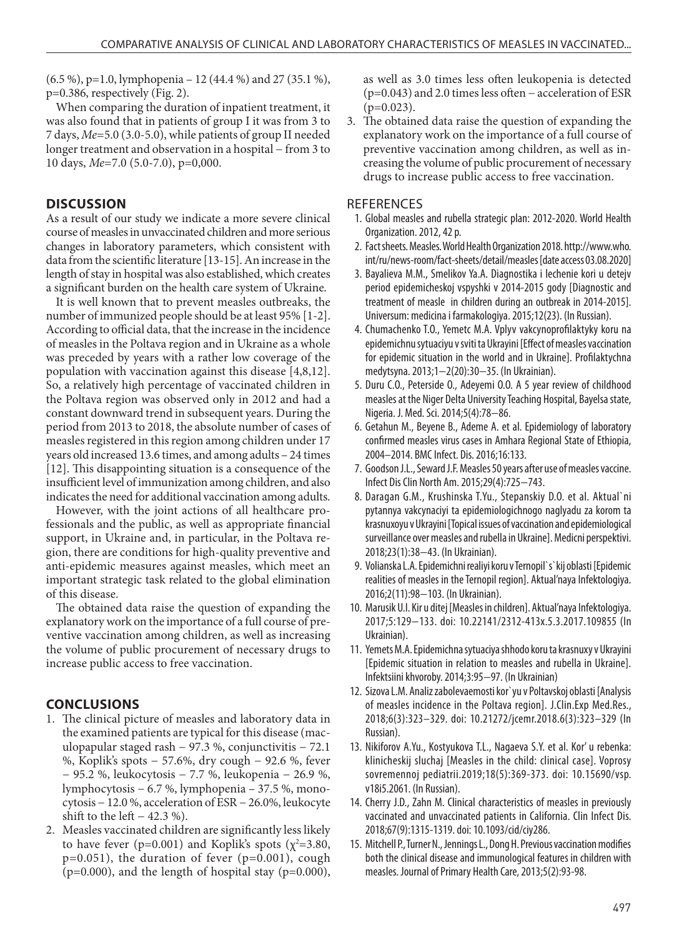$(6.5 \%)$ , p=1.0, lymphopenia – 12 (44.4 %) and 27 (35.1 %), р=0.386, respectively (Fig. 2).

When comparing the duration of inpatient treatment, it was also found that in patients of group I it was from 3 to 7 days, *Ме*=5.0 (3.0-5.0), while patients of group II needed longer treatment and observation in a hospital − from 3 to 10 days, *Ме*=7.0 (5.0-7.0), р=0,000.

## **DISCUSSION**

As a result of our study we indicate a more severe clinical course of measles in unvaccinated children and more serious changes in laboratory parameters, which consistent with data from the scientific literature [13-15]. An increase in the length of stay in hospital was also established, which creates a significant burden on the health care system of Ukraine.

It is well known that to prevent measles outbreaks, the number of immunized people should be at least 95% [1-2]. According to official data, that the increase in the incidence of measles in the Poltava region and in Ukraine as a whole was preceded by years with a rather low coverage of the population with vaccination against this disease [4,8,12]. So, a relatively high percentage of vaccinated children in the Poltava region was observed only in 2012 and had a constant downward trend in subsequent years. During the period from 2013 to 2018, the absolute number of cases of measles registered in this region among children under 17 years old increased 13.6 times, and among adults – 24 times [12]. This disappointing situation is a consequence of the insufficient level of immunization among children, and also indicates the need for additional vaccination among adults.

However, with the joint actions of all healthcare professionals and the public, as well as appropriate financial support, in Ukraine and, in particular, in the Poltava region, there are conditions for high-quality preventive and anti-epidemic measures against measles, which meet an important strategic task related to the global elimination of this disease.

The obtained data raise the question of expanding the explanatory work on the importance of a full course of preventive vaccination among children, as well as increasing the volume of public procurement of necessary drugs to increase public access to free vaccination.

## **CONCLUSIONS**

- 1. The clinical picture of measles and laboratory data in the examined patients are typical for this disease (maculopapular staged rash − 97.3 %, conjunctivitis − 72.1 %, Koplik's spots − 57.6%, dry cough − 92.6 %, fever − 95.2 %, leukocytosis − 7.7 %, leukopenia − 26.9 %, lymphocytosis − 6.7 %, lymphopenia – 37.5 %, monocytosis − 12.0 %, acceleration of ESR − 26.0%, leukocyte shift to the left  $-42.3\%$ ).
- 2. Measles vaccinated children are significantly less likely to have fever ( $p=0.001$ ) and Koplik's spots ( $\chi^2=3.80$ , p=0.051), the duration of fever (p=0.001), cough  $(p=0.000)$ , and the length of hospital stay  $(p=0.000)$ ,

as well as 3.0 times less often leukopenia is detected (р=0.043) and 2.0 times less often − acceleration of ESR  $(p=0.023)$ .

3. The obtained data raise the question of expanding the explanatory work on the importance of a full course of preventive vaccination among children, as well as increasing the volume of public procurement of necessary drugs to increase public access to free vaccination.

#### **REFERENCES**

- 1. Global measles and rubella strategic plan: 2012-2020. World Health Organization. 2012, 42 p.
- 2. Fact sheets. Measles. World Health Organization 2018. http://www.who. int/ru/news-room/fact-sheets/detail/measles [date access 03.08.2020]
- 3. Bayalieva М.М., Smelikov Ya.А. Diagnostika i lechenie kori u detejv period epidemicheskoj vspyshki v 2014-2015 gody [Diagnostic and treatment of measle in children during an outbreak in 2014-2015]. Universum: medicina i farmakologiya. 2015;12(23). (In Russian).
- 4. Chumachenko T.O., Yemetc M.A. Vplyv vakcynoprofilaktyky koru na epidemichnu sytuaciyu v sviti ta Ukrayini [Effect of measles vaccination for epidemic situation in the world and in Ukraine]. Profilaktychna medytsyna. 2013;1−2(20):30−35. (In Ukrainian).
- 5. Duru C.O., Peterside O., Adeyemi O.O. A 5 year review of childhood measles at the Niger Delta University Teaching Hospital, Bayelsa state, Nigeria. J. Med. Sci. 2014;5(4):78−86.
- 6. Getahun M., Beyene B., Ademe A. et al. Epidemiology of laboratory confirmed measles virus cases in Amhara Regional State of Ethiopia, 2004–2014. BMC Infect. Dis. 2016;16:133.
- 7. Goodson J.L., Seward J.F. Measles 50 years after use of measles vaccine. Infect Dis Clin North Am. 2015;29(4):725−743.
- 8. Daragan G.M., Krushinska T.Yu., Stepanskiy D.O. et al. Aktual`ni pytannya vakcynaciyi ta epidemiologichnogo naglyadu za korom ta krasnuxoyu v Ukrayini [Topical issues of vaccination and epidemiological surveillance over measles and rubella in Ukraine]. Medicni perspektivi. 2018;23(1):38−43. (In Ukrainian).
- 9. Volianska L.A. Epidemichni realiyi koru v Ternopil`s`kij oblasti [Epidemic realities of measles in the Ternopil region]. Aktual'naya Infektologiya. 2016;2(11):98−103. (In Ukrainian).
- 10. Marusik U.I. Kir u ditej [Measles in children]. Aktual'naya Infektologiya. 2017;5:129−133. doi: 10.22141/2312-413x.5.3.2017.109855 (In Ukrainian).
- 11. Yemets М.А. Epidemichna sytuaciya shhodo koru ta krasnuxy v Ukrayini [Epidemic situation in relation to measles and rubella in Ukraine]. Infektsiini khvoroby. 2014;3:95−97. (In Ukrainian)
- 12. Sizova L.M. Analiz zabolevaemosti kor`yu v Poltavskoj oblasti [Analysis of measles incidence in the Poltava region]. J.Clin.Exp Med.Res., 2018;6(3):323–329. doi: 10.21272/jcemr.2018.6(3):323–329 (In Russian).
- 13. Nikiforov A.Yu., Kostyukova T.L., Nagaeva S.Y. et al. Kor' u rebenka: klinicheskij sluchaj [Measles in the child: clinical case]. Voprosy sovremennoj pediatrii.2019;18(5):369-373. doi: 10.15690/vsp. v18i5.2061. (In Russian).
- 14. Cherry J.D., Zahn М. Clinical characteristics of measles in previously vaccinated and unvaccinated patients in California. Clin Infect Dis. 2018;67(9):1315-1319. doi: 10.1093/cid/ciy286.
- 15. Mitchell P., Turner N., Jennings L., Dong H. Previous vaccination modifies both the clinical disease and immunological features in children with measles. Journal of Primary Health Care, 2013;5(2):93-98.